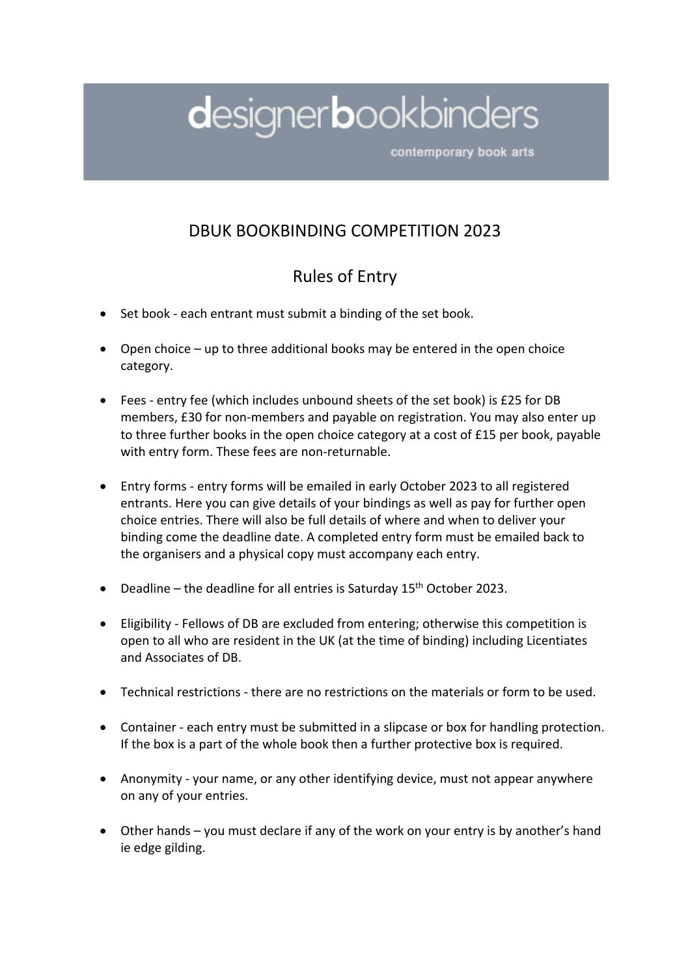## designerbookbinders

contemporary book arts

## DBUK BOOKBINDING COMPETITION 2023

## Rules of Entry

- Set book each entrant must submit a binding of the set book.
- Open choice up to three additional books may be entered in the open choice category.
- Fees entry fee (which includes unbound sheets of the set book) is £25 for DB members, £30 for non-members and payable on registration. You may also enter up to three further books in the open choice category at a cost of £15 per book, payable with entry form. These fees are non-returnable.
- Entry forms entry forms will be emailed in early October 2023 to all registered entrants. Here you can give details of your bindings as well as pay for further open choice entries. There will also be full details of where and when to deliver your binding come the deadline date. A completed entry form must be emailed back to the organisers and a physical copy must accompany each entry.
- Deadline the deadline for all entries is Saturday  $15<sup>th</sup>$  October 2023.
- Eligibility Fellows of DB are excluded from entering; otherwise this competition is open to all who are resident in the UK (at the time of binding) including Licentiates and Associates of DB.
- Technical restrictions there are no restrictions on the materials or form to be used.
- Container each entry must be submitted in a slipcase or box for handling protection. If the box is a part of the whole book then a further protective box is required.
- Anonymity your name, or any other identifying device, must not appear anywhere on any of your entries.
- Other hands you must declare if any of the work on your entry is by another's hand ie edge gilding.